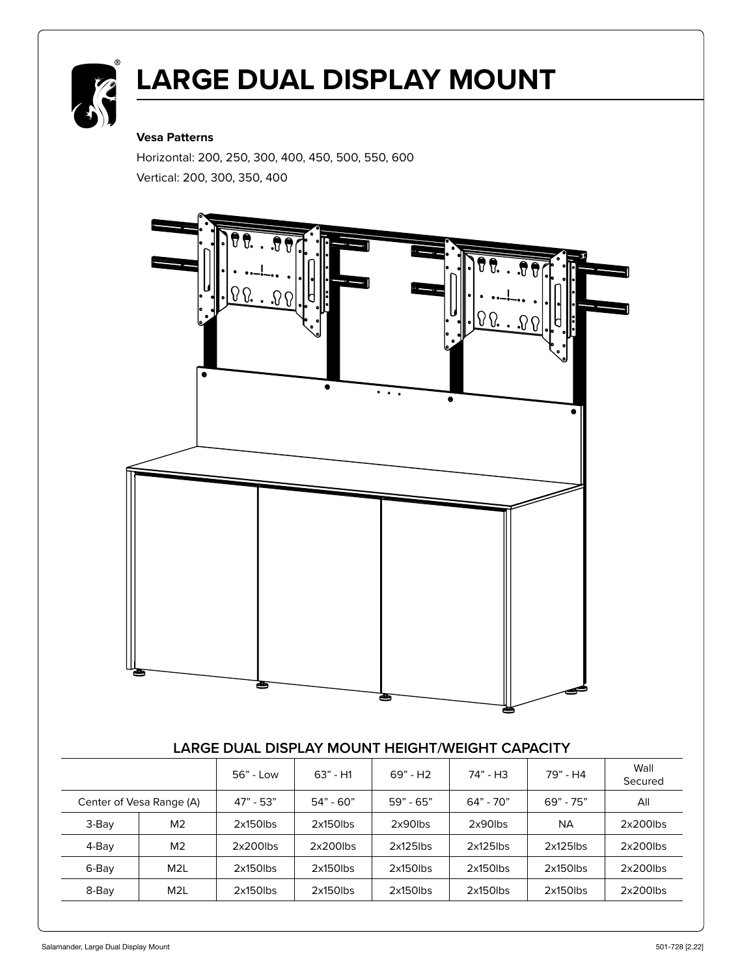

# **LARGE DUAL DISPLAY MOUNT**

#### **Vesa Patterns**

Horizontal: 200, 250, 300, 400, 450, 500, 550, 600 Vertical: 200, 300, 350, 400



#### **LARGE DUAL DISPLAY MOUNT HEIGHT/WEIGHT CAPACITY**

|                          |                  | 56" - Low   | $63" - H1$  | 69" - H <sub>2</sub> | 74" - H3    | 79" - H4    | Wall<br>Secured |
|--------------------------|------------------|-------------|-------------|----------------------|-------------|-------------|-----------------|
| Center of Vesa Range (A) |                  | $47" - 53"$ | $54" - 60"$ | $59" - 65"$          | $64" - 70"$ | $69" - 75"$ | All             |
| 3-Bay                    | M <sub>2</sub>   | $2x150$ lbs | $2x150$ lbs | $2x90$ lbs           | $2x90$ lbs  | NA.         | $2x200$ lbs     |
| 4-Bay                    | M <sub>2</sub>   | $2x200$ lbs | $2x200$ lbs | $2x125$ lbs          | $2x125$ lbs | $2x125$ lbs | $2x200$ lbs     |
| 6-Bay                    | M <sub>2</sub> L | $2x150$ lbs | $2x150$ lbs | $2x150$ lbs          | $2x150$ lbs | $2x150$ lbs | $2x200$ lbs     |
| 8-Bay                    | M <sub>2</sub> L | $2x150$ lbs | $2x150$ lbs | $2x150$ lbs          | $2x150$ lbs | $2x150$ lbs | $2x200$ lbs     |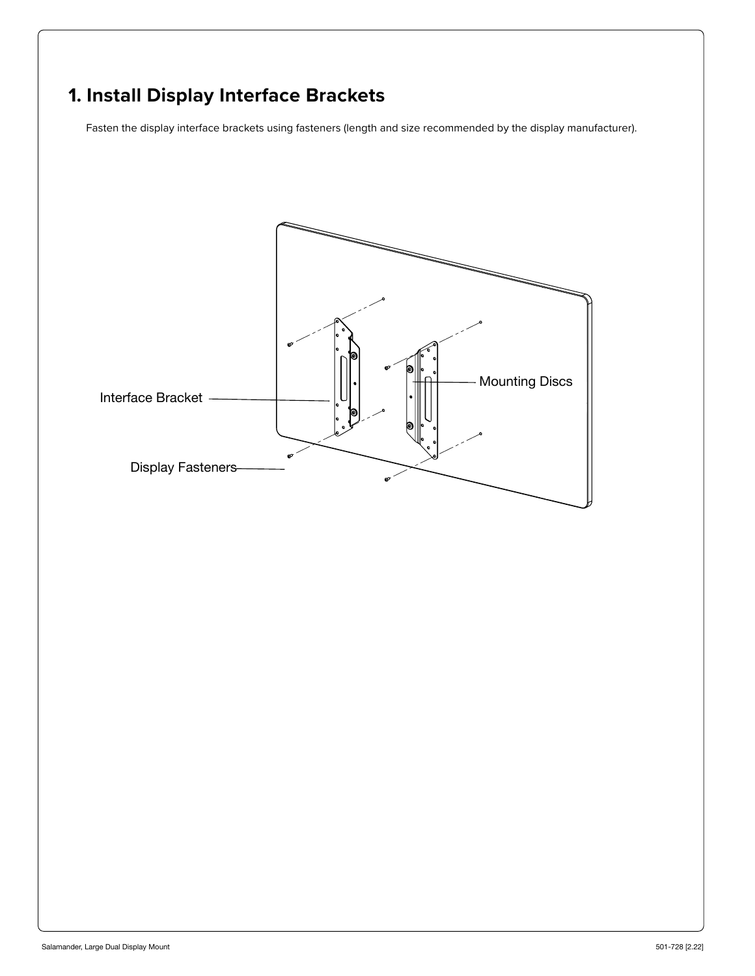# **1. Install Display Interface Brackets**

Fasten the display interface brackets using fasteners (length and size recommended by the display manufacturer).

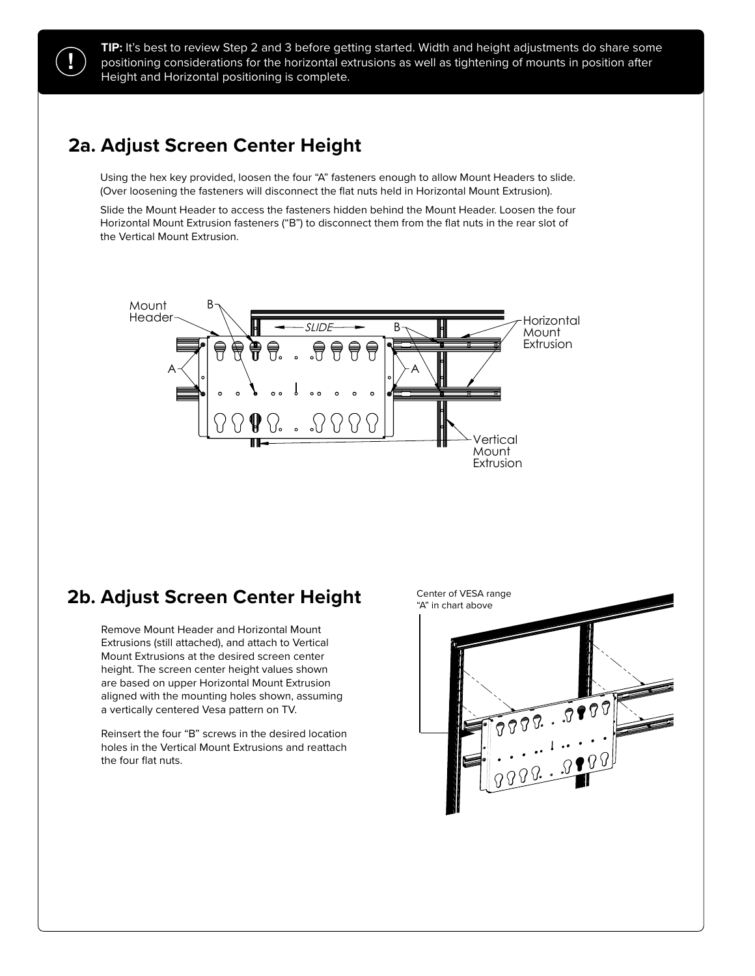**TIP:** It's best to review Step 2 and 3 before getting started. Width and height adjustments do share some positioning considerations for the horizontal extrusions as well as tightening of mounts in position after Height and Horizontal positioning is complete.

# **2a. Adjust Screen Center Height**

Using the hex key provided, loosen the four "A" fasteners enough to allow Mount Headers to slide. (Over loosening the fasteners will disconnect the flat nuts held in Horizontal Mount Extrusion).

Slide the Mount Header to access the fasteners hidden behind the Mount Header. Loosen the four Horizontal Mount Extrusion fasteners ("B") to disconnect them from the flat nuts in the rear slot of four Horizontal Mount Extrusion.<br> $\mathcal{L}$  to disconnect the vertical Mount Extrusion.



### **2b. Adjust Screen Center Height**

59.3" (150cm) Extrusions (still attached), and attach to Vertical Mount Extrusions at the desired screen center 55.7" (141cm) are based on upper Horizontal Mount Extrusion aligned with the mounting holes shown, assuming Remove Mount Header and Horizontal Mount height. The screen center height values shown a vertically centered Vesa pattern on TV.

Reinsert the four "B" screws in the desired location holes in the Vertical Mount Extrusions and reattach the four flat nuts.



 Remove Mount Header and Horizontal Mount Extrusions (still attached), and attach to Vertical Mount Extrusions at the desired screen center height. The screen center height values shown are based on upper Horizontal Mount Extrusion aligned with the mounting

Extrusion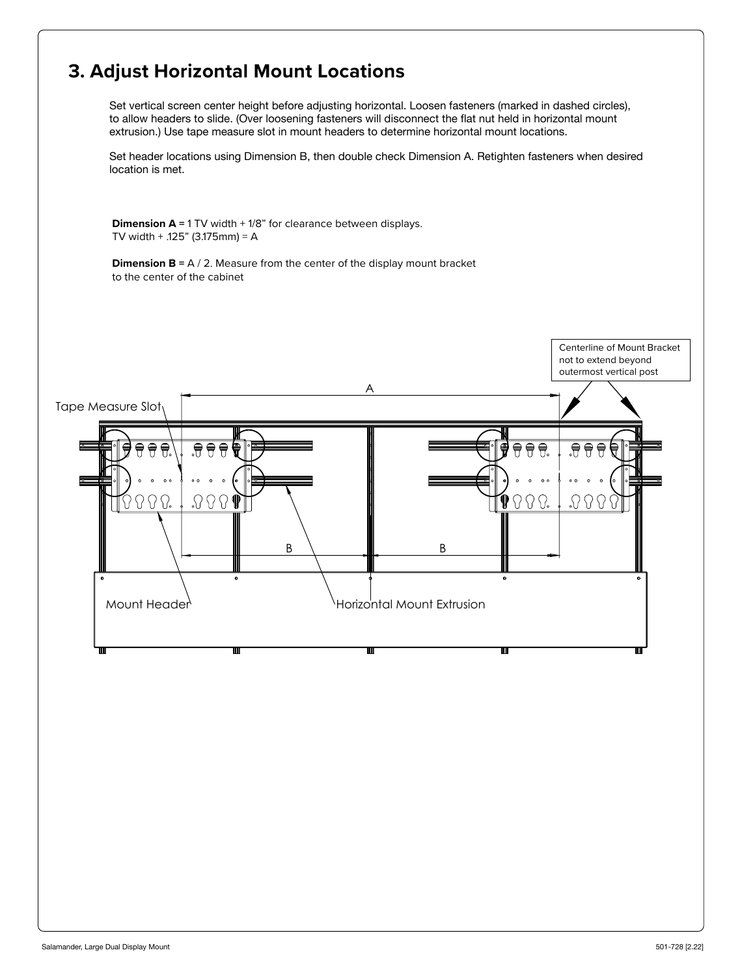# **3. Adjust Horizontal Mount Locations**

Set vertical screen center height before adjusting horizontal. Loosen fasteners (marked in dashed circles), to allow headers to slide. (Over loosening fasteners will disconnect the flat nut held in horizontal mount extrusion.) Use tape measure slot in mount headers to determine horizontal mount locations.

Set header locations using Dimension B, then double check Dimension A. Retighten fasteners when desired location is met.

**Dimension A** = 1 TV width + 1/8" for clearance between displays. TV width + .125" (3.175mm) = A

**Dimension B = A / 2.** Measure from the center of the display mount bracket to the center of the cabinet